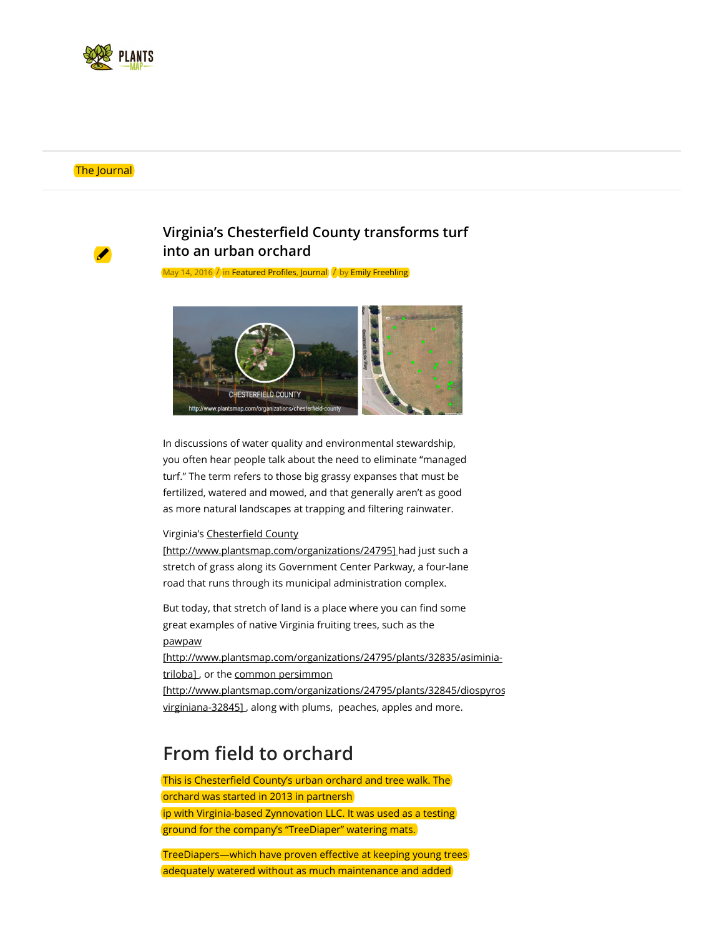

#### The Journal



## Virginia's Chesterfield County transforms turf into an urban orchard

May 14, 2016  $\int$  in Featured Profiles, Journal  $\int$  by Emily Freehling



In discussions of water quality and environmental stewardship, you often hear people talk about the need to eliminate "managed turf." The term refers to those big grassy expanses that must be fertilized, watered and mowed, and that generally aren't as good as more natural landscapes at trapping and filtering rainwater.

### Virginia's Chesterfield County

[http://www.plantsmap.com/organizations/24795] had just such a stretch of grass along its Government Center Parkway, a four-lane road that runs through its municipal administration complex.

But today, that stretch of land is a place where you can find some great examples of native Virginia fruiting trees, such as the pawpaw

[http://www.plantsmap.com/organizations/24795/plants/32835/asiminiatriloba], or the common persimmon

[http://www.plantsmap.com/organizations/24795/plants/32845/diospyrosvirginiana-32845] , along with plums, peaches, apples and more.

## From field to orchard

This is Chesterfield County's urban orchard and tree walk. The orchard was started in 2013 in partnersh ip with Virginia-based Zynnovation LLC. It was used as a testing ground for the company's "TreeDiaper" watering mats.

TreeDiapers—which have proven effective at keeping young trees adequately watered without as much maintenance and added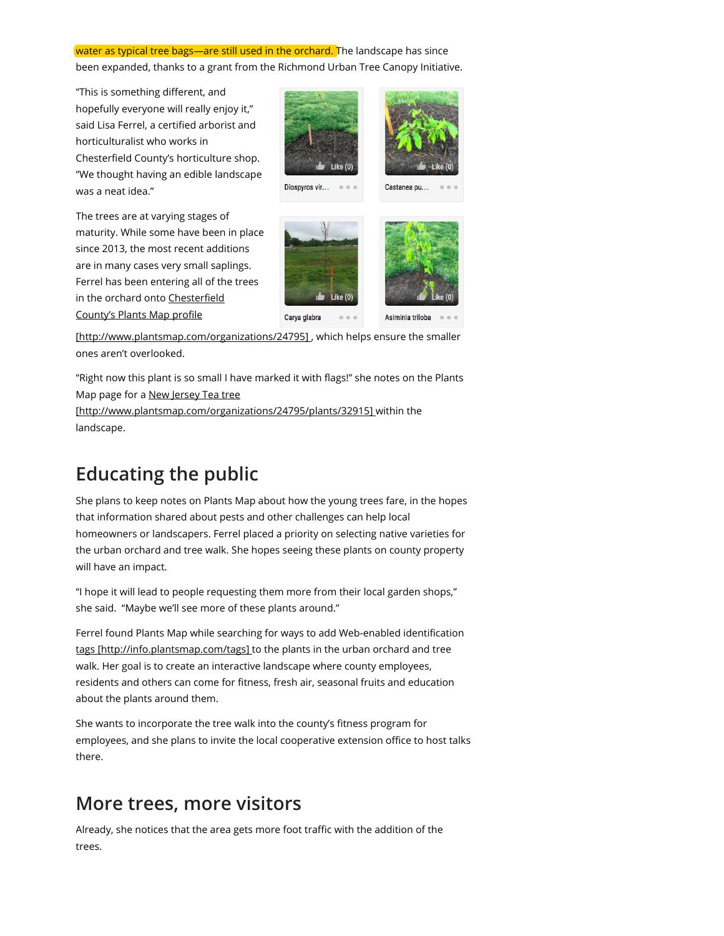### water as typical tree bags-are still used in the orchard. The landscape has since been expanded, thanks to a grant from the Richmond Urban Tree Canopy Initiative.

"This is something different, and hopefully everyone will really enjoy it," said Lisa Ferrel, a certified arborist and horticulturalist who works in Chesterfield County's horticulture shop. "We thought having an edible landscape was a neat idea."



The trees are at varying stages of maturity. While some have been in place since 2013, the most recent additions are in many cases very small saplings. Ferrel has been entering all of the trees in the orchard onto Chesterfield

County's Plants Map profile

[http://www.plantsmap.com/organizations/24795] , which helps ensure the smaller ones aren't overlooked.

"Right now this plant is so small I have marked it with flags!" she notes on the Plants Map page for a New Jersey Tea tree

[http://www.plantsmap.com/organizations/24795/plants/32915] within the landscape.

# Educating the public

She plans to keep notes on Plants Map about how the young trees fare, in the hopes that information shared about pests and other challenges can help local homeowners or landscapers. Ferrel placed a priority on selecting native varieties for the urban orchard and tree walk. She hopes seeing these plants on county property will have an impact.

"I hope it will lead to people requesting them more from their local garden shops," she said. "Maybe we'll see more of these plants around."

Ferrel found Plants Map while searching for ways to add Web-enabled identification tags [http://info.plantsmap.com/tags] to the plants in the urban orchard and tree walk. Her goal is to create an interactive landscape where county employees, residents and others can come for fitness, fresh air, seasonal fruits and education about the plants around them.

She wants to incorporate the tree walk into the county's fitness program for employees, and she plans to invite the local cooperative extension office to host talks there.

## More trees, more visitors

Already, she notices that the area gets more foot traffic with the addition of the trees.